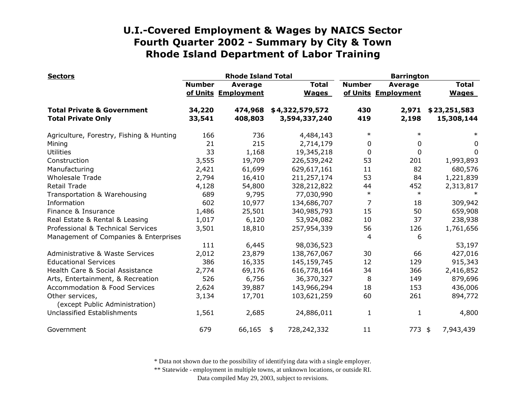| <b>Sectors</b>                                                     |                  | <b>Rhode Island Total</b>             |                                  |               | <b>Barrington</b>                     |                              |  |
|--------------------------------------------------------------------|------------------|---------------------------------------|----------------------------------|---------------|---------------------------------------|------------------------------|--|
|                                                                    | <b>Number</b>    | <b>Average</b><br>of Units Employment | <b>Total</b><br><b>Wages</b>     | <b>Number</b> | <b>Average</b><br>of Units Employment | <b>Total</b><br><b>Wages</b> |  |
| <b>Total Private &amp; Government</b><br><b>Total Private Only</b> | 34,220<br>33,541 | 474,968<br>408,803                    | \$4,322,579,572<br>3,594,337,240 | 430<br>419    | 2,971<br>2,198                        | \$23,251,583<br>15,308,144   |  |
| Agriculture, Forestry, Fishing & Hunting                           | 166              | 736                                   | 4,484,143                        | $\ast$        | $\ast$                                | $\ast$                       |  |
| Mining                                                             | 21               | 215                                   | 2,714,179                        | 0             | 0                                     | 0                            |  |
| <b>Utilities</b>                                                   | 33               | 1,168                                 | 19,345,218                       | $\mathbf{0}$  | $\mathbf 0$                           | 0                            |  |
| Construction                                                       | 3,555            | 19,709                                | 226,539,242                      | 53            | 201                                   | 1,993,893                    |  |
| Manufacturing                                                      | 2,421            | 61,699                                | 629,617,161                      | 11            | 82                                    | 680,576                      |  |
| <b>Wholesale Trade</b>                                             | 2,794            | 16,410                                | 211,257,174                      | 53            | 84                                    | 1,221,839                    |  |
| <b>Retail Trade</b>                                                | 4,128            | 54,800                                | 328,212,822                      | 44            | 452                                   | 2,313,817                    |  |
| Transportation & Warehousing                                       | 689              | 9,795                                 | 77,030,990                       | $\ast$        | $\ast$                                |                              |  |
| Information                                                        | 602              | 10,977                                | 134,686,707                      | 7             | 18                                    | 309,942                      |  |
| Finance & Insurance                                                | 1,486            | 25,501                                | 340,985,793                      | 15            | 50                                    | 659,908                      |  |
| Real Estate & Rental & Leasing                                     | 1,017            | 6,120                                 | 53,924,082                       | 10            | 37                                    | 238,938                      |  |
| Professional & Technical Services                                  | 3,501            | 18,810                                | 257,954,339                      | 56            | 126                                   | 1,761,656                    |  |
| Management of Companies & Enterprises                              |                  |                                       |                                  | 4             | 6                                     |                              |  |
|                                                                    | 111              | 6,445                                 | 98,036,523                       |               |                                       | 53,197                       |  |
| Administrative & Waste Services                                    | 2,012            | 23,879                                | 138,767,067                      | 30            | 66                                    | 427,016                      |  |
| <b>Educational Services</b>                                        | 386              | 16,335                                | 145,159,745                      | 12            | 129                                   | 915,343                      |  |
| Health Care & Social Assistance                                    | 2,774            | 69,176                                | 616,778,164                      | 34            | 366                                   | 2,416,852                    |  |
| Arts, Entertainment, & Recreation                                  | 526              | 6,756                                 | 36,370,327                       | 8             | 149                                   | 879,696                      |  |
| <b>Accommodation &amp; Food Services</b>                           | 2,624            | 39,887                                | 143,966,294                      | 18            | 153                                   | 436,006                      |  |
| Other services,<br>(except Public Administration)                  | 3,134            | 17,701                                | 103,621,259                      | 60            | 261                                   | 894,772                      |  |
| Unclassified Establishments                                        | 1,561            | 2,685                                 | 24,886,011                       | 1             | 1                                     | 4,800                        |  |
| Government                                                         | 679              | 66,165                                | 728,242,332<br>\$                | 11            | $773$ \$                              | 7,943,439                    |  |

\* Data not shown due to the possibility of identifying data with a single employer.

\*\* Statewide - employment in multiple towns, at unknown locations, or outside RI.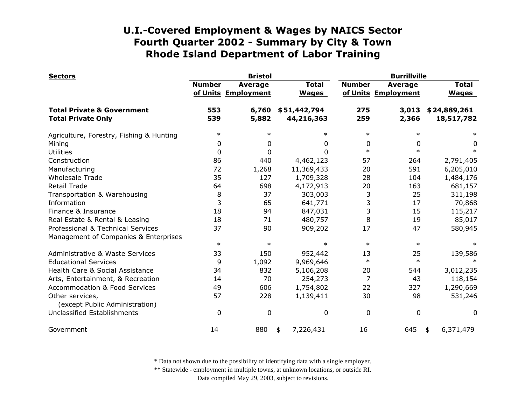| <b>Sectors</b>                                                     |               | <b>Bristol</b>                        |                              |               | <b>Burrillville</b>                   |                              |  |
|--------------------------------------------------------------------|---------------|---------------------------------------|------------------------------|---------------|---------------------------------------|------------------------------|--|
|                                                                    | <b>Number</b> | <b>Average</b><br>of Units Employment | <b>Total</b><br><b>Wages</b> | <b>Number</b> | <b>Average</b><br>of Units Employment | <b>Total</b><br><b>Wages</b> |  |
| <b>Total Private &amp; Government</b><br><b>Total Private Only</b> | 553<br>539    | 6,760<br>5,882                        | \$51,442,794<br>44,216,363   | 275<br>259    | 3,013<br>2,366                        | \$24,889,261<br>18,517,782   |  |
| Agriculture, Forestry, Fishing & Hunting                           | $\ast$        | $\ast$                                | $\ast$                       | $\ast$        | $\ast$                                |                              |  |
| Mining                                                             | 0             | 0                                     | 0                            | 0             | 0                                     | 0                            |  |
| <b>Utilities</b>                                                   | 0             | 0                                     | 0                            | $\ast$        | $\ast$                                | $\ast$                       |  |
| Construction                                                       | 86            | 440                                   | 4,462,123                    | 57            | 264                                   | 2,791,405                    |  |
| Manufacturing                                                      | 72            | 1,268                                 | 11,369,433                   | 20            | 591                                   | 6,205,010                    |  |
| <b>Wholesale Trade</b>                                             | 35            | 127                                   | 1,709,328                    | 28            | 104                                   | 1,484,176                    |  |
| Retail Trade                                                       | 64            | 698                                   | 4,172,913                    | 20            | 163                                   | 681,157                      |  |
| Transportation & Warehousing                                       | 8             | 37                                    | 303,003                      | 3             | 25                                    | 311,198                      |  |
| Information                                                        | 3             | 65                                    | 641,771                      | 3             | 17                                    | 70,868                       |  |
| Finance & Insurance                                                | 18            | 94                                    | 847,031                      | 3             | 15                                    | 115,217                      |  |
| Real Estate & Rental & Leasing                                     | 18            | 71                                    | 480,757                      | 8             | 19                                    | 85,017                       |  |
| Professional & Technical Services                                  | 37            | 90                                    | 909,202                      | 17            | 47                                    | 580,945                      |  |
| Management of Companies & Enterprises                              |               |                                       |                              |               |                                       |                              |  |
|                                                                    | $\ast$        | $\ast$                                | $\ast$                       | $\ast$        | $\ast$                                |                              |  |
| Administrative & Waste Services                                    | 33            | 150                                   | 952,442                      | 13            | 25                                    | 139,586                      |  |
| <b>Educational Services</b>                                        | 9             | 1,092                                 | 9,969,646                    | $\ast$        | $\ast$                                | $\ast$                       |  |
| Health Care & Social Assistance                                    | 34            | 832                                   | 5,106,208                    | 20            | 544                                   | 3,012,235                    |  |
| Arts, Entertainment, & Recreation                                  | 14            | 70                                    | 254,273                      | 7             | 43                                    | 118,154                      |  |
| <b>Accommodation &amp; Food Services</b>                           | 49            | 606                                   | 1,754,802                    | 22            | 327                                   | 1,290,669                    |  |
| Other services,<br>(except Public Administration)                  | 57            | 228                                   | 1,139,411                    | 30            | 98                                    | 531,246                      |  |
| Unclassified Establishments                                        | 0             | 0                                     | 0                            | $\mathbf 0$   | 0                                     | 0                            |  |
| Government                                                         | 14            | 880                                   | 7,226,431<br>\$              | 16            | 645                                   | 6,371,479<br>\$              |  |

\* Data not shown due to the possibility of identifying data with a single employer.

\*\* Statewide - employment in multiple towns, at unknown locations, or outside RI.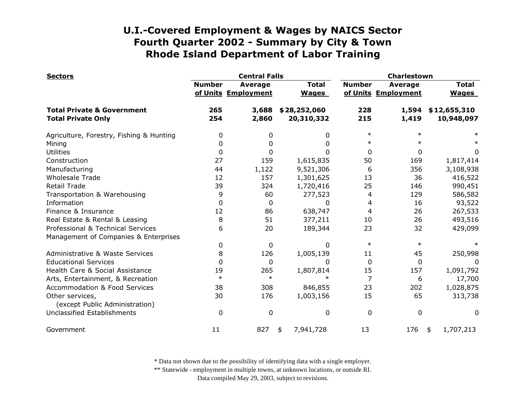| <b>Sectors</b>                                    |               | <b>Central Falls</b>                  |                              | <b>Charlestown</b> |                                |                              |
|---------------------------------------------------|---------------|---------------------------------------|------------------------------|--------------------|--------------------------------|------------------------------|
|                                                   | <b>Number</b> | <b>Average</b><br>of Units Employment | <b>Total</b><br><b>Wages</b> | <b>Number</b>      | Average<br>of Units Employment | <b>Total</b><br><b>Wages</b> |
| <b>Total Private &amp; Government</b>             | 265           | 3,688                                 | \$28,252,060                 | 228                | 1,594                          | \$12,655,310                 |
| <b>Total Private Only</b>                         | 254           | 2,860                                 | 20,310,332                   | 215                | 1,419                          | 10,948,097                   |
| Agriculture, Forestry, Fishing & Hunting          | 0             | 0                                     | 0                            | $\ast$             | $\ast$                         |                              |
| Mining                                            | 0             | 0                                     | 0                            | $\ast$             |                                |                              |
| <b>Utilities</b>                                  | 0             | 0                                     | O                            | $\Omega$           | 0                              | 0                            |
| Construction                                      | 27            | 159                                   | 1,615,835                    | 50                 | 169                            | 1,817,414                    |
| Manufacturing                                     | 44            | 1,122                                 | 9,521,306                    | 6                  | 356                            | 3,108,938                    |
| <b>Wholesale Trade</b>                            | 12            | 157                                   | 1,301,625                    | 13                 | 36                             | 416,522                      |
| <b>Retail Trade</b>                               | 39            | 324                                   | 1,720,416                    | 25                 | 146                            | 990,451                      |
| Transportation & Warehousing                      | 9             | 60                                    | 277,523                      | 4                  | 129                            | 586,582                      |
| Information                                       | 0             | 0                                     | 0                            | 4                  | 16                             | 93,522                       |
| Finance & Insurance                               | 12            | 86                                    | 638,747                      | 4                  | 26                             | 267,533                      |
| Real Estate & Rental & Leasing                    | 8             | 51                                    | 377,211                      | 10                 | 26                             | 493,516                      |
| Professional & Technical Services                 | 6             | 20                                    | 189,344                      | 23                 | 32                             | 429,099                      |
| Management of Companies & Enterprises             |               |                                       |                              |                    |                                |                              |
|                                                   | 0             | 0                                     | 0                            | $\ast$             | $\ast$                         |                              |
| <b>Administrative &amp; Waste Services</b>        | 8             | 126                                   | 1,005,139                    | 11                 | 45                             | 250,998                      |
| <b>Educational Services</b>                       | 0             | 0                                     | 0                            | $\Omega$           | 0                              | 0                            |
| Health Care & Social Assistance                   | 19            | 265                                   | 1,807,814                    | 15                 | 157                            | 1,091,792                    |
| Arts, Entertainment, & Recreation                 | $\ast$        | $\ast$                                | $\ast$                       | $\overline{7}$     | 6                              | 17,700                       |
| <b>Accommodation &amp; Food Services</b>          | 38            | 308                                   | 846,855                      | 23                 | 202                            | 1,028,875                    |
| Other services,<br>(except Public Administration) | 30            | 176                                   | 1,003,156                    | 15                 | 65                             | 313,738                      |
| Unclassified Establishments                       | 0             | 0                                     | 0                            | 0                  | 0                              | 0                            |
| Government                                        | 11            | 827                                   | 7,941,728<br>\$              | 13                 | 176                            | 1,707,213<br>\$              |

\* Data not shown due to the possibility of identifying data with a single employer.

\*\* Statewide - employment in multiple towns, at unknown locations, or outside RI.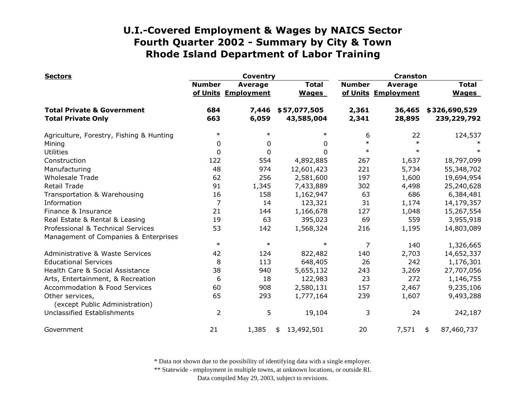| <b>Sectors</b>                                    |                | <b>Coventry</b>                       |                              | <b>Cranston</b> |                                       |                              |  |
|---------------------------------------------------|----------------|---------------------------------------|------------------------------|-----------------|---------------------------------------|------------------------------|--|
|                                                   | <b>Number</b>  | <b>Average</b><br>of Units Employment | <b>Total</b><br><b>Wages</b> | <b>Number</b>   | <b>Average</b><br>of Units Employment | <b>Total</b><br><b>Wages</b> |  |
| <b>Total Private &amp; Government</b>             | 684            | 7,446                                 | \$57,077,505                 | 2,361           | 36,465                                | \$326,690,529                |  |
| <b>Total Private Only</b>                         | 663            | 6,059                                 | 43,585,004                   | 2,341           | 28,895                                | 239,229,792                  |  |
| Agriculture, Forestry, Fishing & Hunting          | $\ast$         | $\ast$                                | $\ast$                       | 6               | 22                                    | 124,537                      |  |
| Mining                                            | 0              | $\mathbf 0$                           | 0                            | $\ast$          | $\ast$                                |                              |  |
| <b>Utilities</b>                                  | $\mathbf{0}$   | $\boldsymbol{0}$                      | 0                            | $\ast$          | $\ast$                                |                              |  |
| Construction                                      | 122            | 554                                   | 4,892,885                    | 267             | 1,637                                 | 18,797,099                   |  |
| Manufacturing                                     | 48             | 974                                   | 12,601,423                   | 221             | 5,734                                 | 55,348,702                   |  |
| <b>Wholesale Trade</b>                            | 62             | 256                                   | 2,581,600                    | 197             | 1,600                                 | 19,694,954                   |  |
| Retail Trade                                      | 91             | 1,345                                 | 7,433,889                    | 302             | 4,498                                 | 25,240,628                   |  |
| Transportation & Warehousing                      | 16             | 158                                   | 1,162,947                    | 63              | 686                                   | 6,384,481                    |  |
| Information                                       | $\overline{7}$ | 14                                    | 123,321                      | 31              | 1,174                                 | 14,179,357                   |  |
| Finance & Insurance                               | 21             | 144                                   | 1,166,678                    | 127             | 1,048                                 | 15,267,554                   |  |
| Real Estate & Rental & Leasing                    | 19             | 63                                    | 395,023                      | 69              | 559                                   | 3,955,918                    |  |
| Professional & Technical Services                 | 53             | 142                                   | 1,568,324                    | 216             | 1,195                                 | 14,803,089                   |  |
| Management of Companies & Enterprises             |                |                                       |                              |                 |                                       |                              |  |
|                                                   | $\ast$         | $\ast$                                | $\ast$                       | 7               | 140                                   | 1,326,665                    |  |
| Administrative & Waste Services                   | 42             | 124                                   | 822,482                      | 140             | 2,703                                 | 14,652,337                   |  |
| <b>Educational Services</b>                       | 8              | 113                                   | 648,405                      | 26              | 242                                   | 1,176,301                    |  |
| Health Care & Social Assistance                   | 38             | 940                                   | 5,655,132                    | 243             | 3,269                                 | 27,707,056                   |  |
| Arts, Entertainment, & Recreation                 | 6              | 18                                    | 122,983                      | 23              | 272                                   | 1,146,755                    |  |
| Accommodation & Food Services                     | 60             | 908                                   | 2,580,131                    | 157             | 2,467                                 | 9,235,106                    |  |
| Other services,<br>(except Public Administration) | 65             | 293                                   | 1,777,164                    | 239             | 1,607                                 | 9,493,288                    |  |
| Unclassified Establishments                       | $\overline{2}$ | 5                                     | 19,104                       | 3               | 24                                    | 242,187                      |  |
| Government                                        | 21             | 1,385                                 | 13,492,501<br>\$             | 20              | 7,571                                 | 87,460,737<br>\$             |  |

\* Data not shown due to the possibility of identifying data with a single employer.

\*\* Statewide - employment in multiple towns, at unknown locations, or outside RI.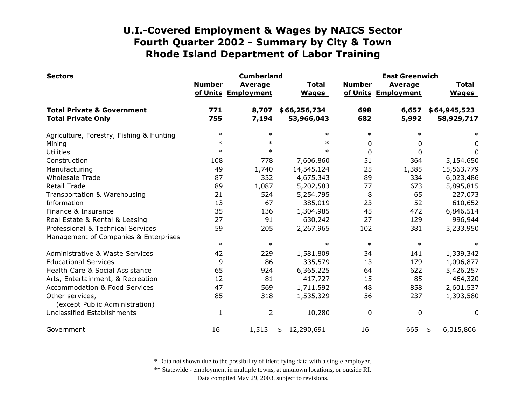| <b>Sectors</b>                                    |               | <b>Cumberland</b>                     |                              | <b>East Greenwich</b> |                                       |                              |
|---------------------------------------------------|---------------|---------------------------------------|------------------------------|-----------------------|---------------------------------------|------------------------------|
|                                                   | <b>Number</b> | <b>Average</b><br>of Units Employment | <b>Total</b><br><b>Wages</b> | <b>Number</b>         | <b>Average</b><br>of Units Employment | <b>Total</b><br><b>Wages</b> |
| <b>Total Private &amp; Government</b>             | 771           | 8,707                                 | \$66,256,734                 | 698                   | 6,657                                 | \$64,945,523                 |
| <b>Total Private Only</b>                         | 755           | 7,194                                 | 53,966,043                   | 682                   | 5,992                                 | 58,929,717                   |
| Agriculture, Forestry, Fishing & Hunting          | $\ast$        | $\ast$                                | $\ast$                       | $\ast$                | $\ast$                                | $\ast$                       |
| Mining                                            | $\ast$        | $\ast$                                | $\ast$                       | 0                     | 0                                     | 0                            |
| <b>Utilities</b>                                  | $\ast$        | $\ast$                                | $\ast$                       | $\mathbf{0}$          | $\Omega$                              | $\Omega$                     |
| Construction                                      | 108           | 778                                   | 7,606,860                    | 51                    | 364                                   | 5,154,650                    |
| Manufacturing                                     | 49            | 1,740                                 | 14,545,124                   | 25                    | 1,385                                 | 15,563,779                   |
| <b>Wholesale Trade</b>                            | 87            | 332                                   | 4,675,343                    | 89                    | 334                                   | 6,023,486                    |
| <b>Retail Trade</b>                               | 89            | 1,087                                 | 5,202,583                    | 77                    | 673                                   | 5,895,815                    |
| Transportation & Warehousing                      | 21            | 524                                   | 5,254,795                    | 8                     | 65                                    | 227,073                      |
| Information                                       | 13            | 67                                    | 385,019                      | 23                    | 52                                    | 610,652                      |
| Finance & Insurance                               | 35            | 136                                   | 1,304,985                    | 45                    | 472                                   | 6,846,514                    |
| Real Estate & Rental & Leasing                    | 27            | 91                                    | 630,242                      | 27                    | 129                                   | 996,944                      |
| Professional & Technical Services                 | 59            | 205                                   | 2,267,965                    | 102                   | 381                                   | 5,233,950                    |
| Management of Companies & Enterprises             |               |                                       |                              |                       |                                       |                              |
|                                                   | $\ast$        | $\ast$                                | $\ast$                       | $\ast$                | $\ast$                                |                              |
| Administrative & Waste Services                   | 42            | 229                                   | 1,581,809                    | 34                    | 141                                   | 1,339,342                    |
| <b>Educational Services</b>                       | 9             | 86                                    | 335,579                      | 13                    | 179                                   | 1,096,877                    |
| Health Care & Social Assistance                   | 65            | 924                                   | 6,365,225                    | 64                    | 622                                   | 5,426,257                    |
| Arts, Entertainment, & Recreation                 | 12            | 81                                    | 417,727                      | 15                    | 85                                    | 464,320                      |
| <b>Accommodation &amp; Food Services</b>          | 47            | 569                                   | 1,711,592                    | 48                    | 858                                   | 2,601,537                    |
| Other services,<br>(except Public Administration) | 85            | 318                                   | 1,535,329                    | 56                    | 237                                   | 1,393,580                    |
| Unclassified Establishments                       | 1             | $\overline{2}$                        | 10,280                       | $\mathbf 0$           | 0                                     | 0                            |
| Government                                        | 16            | 1,513                                 | 12,290,691<br>\$             | 16                    | 665                                   | 6,015,806<br>\$              |

\* Data not shown due to the possibility of identifying data with a single employer.

\*\* Statewide - employment in multiple towns, at unknown locations, or outside RI.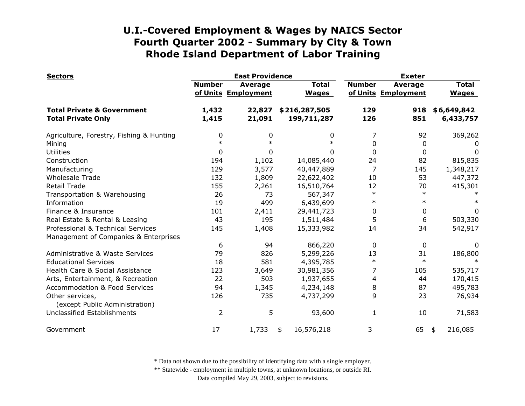| <b>Sectors</b>                                    |               | <b>East Providence</b>                |                              | <b>Exeter</b>  |                                       |                              |
|---------------------------------------------------|---------------|---------------------------------------|------------------------------|----------------|---------------------------------------|------------------------------|
|                                                   | <b>Number</b> | <b>Average</b><br>of Units Employment | <b>Total</b><br><b>Wages</b> | <b>Number</b>  | <b>Average</b><br>of Units Employment | <b>Total</b><br><b>Wages</b> |
| <b>Total Private &amp; Government</b>             | 1,432         | 22,827                                | \$216,287,505                | 129            | 918                                   | \$6,649,842                  |
| <b>Total Private Only</b>                         | 1,415         | 21,091                                | 199,711,287                  | 126            | 851                                   | 6,433,757                    |
| Agriculture, Forestry, Fishing & Hunting          | 0             | 0                                     | 0                            | 7              | 92                                    | 369,262                      |
| Mining                                            | $\ast$        | $\ast$                                | $\ast$                       | 0              | 0                                     | 0                            |
| <b>Utilities</b>                                  | 0             | 0                                     | 0                            | 0              | 0                                     | 0                            |
| Construction                                      | 194           | 1,102                                 | 14,085,440                   | 24             | 82                                    | 815,835                      |
| Manufacturing                                     | 129           | 3,577                                 | 40,447,889                   | $\overline{7}$ | 145                                   | 1,348,217                    |
| <b>Wholesale Trade</b>                            | 132           | 1,809                                 | 22,622,402                   | 10             | 53                                    | 447,372                      |
| <b>Retail Trade</b>                               | 155           | 2,261                                 | 16,510,764                   | 12             | 70                                    | 415,301                      |
| Transportation & Warehousing                      | 26            | 73                                    | 567,347                      | $\ast$         | $\ast$                                |                              |
| Information                                       | 19            | 499                                   | 6,439,699                    | $\ast$         | $\ast$                                | $\ast$                       |
| Finance & Insurance                               | 101           | 2,411                                 | 29,441,723                   | 0              | 0                                     | 0                            |
| Real Estate & Rental & Leasing                    | 43            | 195                                   | 1,511,484                    | 5              | 6                                     | 503,330                      |
| Professional & Technical Services                 | 145           | 1,408                                 | 15,333,982                   | 14             | 34                                    | 542,917                      |
| Management of Companies & Enterprises             |               |                                       |                              |                |                                       |                              |
|                                                   | 6             | 94                                    | 866,220                      | 0              | 0                                     | 0                            |
| Administrative & Waste Services                   | 79            | 826                                   | 5,299,226                    | 13             | 31                                    | 186,800                      |
| <b>Educational Services</b>                       | 18            | 581                                   | 4,395,785                    | $\ast$         | $\ast$                                | $\ast$                       |
| Health Care & Social Assistance                   | 123           | 3,649                                 | 30,981,356                   | 7              | 105                                   | 535,717                      |
| Arts, Entertainment, & Recreation                 | 22            | 503                                   | 1,937,655                    | 4              | 44                                    | 170,415                      |
| <b>Accommodation &amp; Food Services</b>          | 94            | 1,345                                 | 4,234,148                    | 8              | 87                                    | 495,783                      |
| Other services,<br>(except Public Administration) | 126           | 735                                   | 4,737,299                    | 9              | 23                                    | 76,934                       |
| Unclassified Establishments                       | 2             | 5                                     | 93,600                       | 1              | 10                                    | 71,583                       |
| Government                                        | 17            | 1,733                                 | 16,576,218<br>\$             | 3              | 65                                    | 216,085<br>\$                |

\* Data not shown due to the possibility of identifying data with a single employer.

\*\* Statewide - employment in multiple towns, at unknown locations, or outside RI.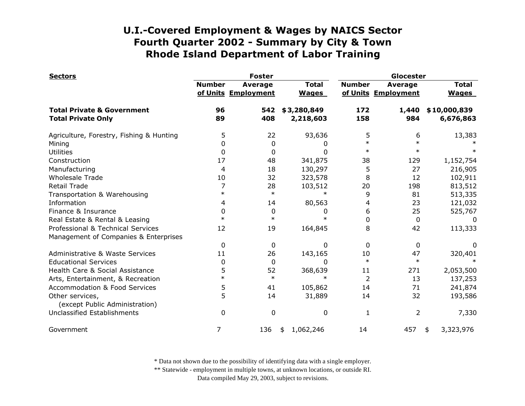| <b>Sectors</b>                                    |               | <b>Foster</b>                         |                              | Glocester     |                                       |                              |
|---------------------------------------------------|---------------|---------------------------------------|------------------------------|---------------|---------------------------------------|------------------------------|
|                                                   | <b>Number</b> | <b>Average</b><br>of Units Employment | <b>Total</b><br><b>Wages</b> | <b>Number</b> | <b>Average</b><br>of Units Employment | <b>Total</b><br><b>Wages</b> |
| <b>Total Private &amp; Government</b>             | 96            | 542                                   | \$3,280,849                  | 172           | 1,440                                 | \$10,000,839                 |
| <b>Total Private Only</b>                         | 89            | 408                                   | 2,218,603                    | 158           | 984                                   | 6,676,863                    |
| Agriculture, Forestry, Fishing & Hunting          | 5             | 22                                    | 93,636                       | 5             | 6                                     | 13,383                       |
| Mining                                            | 0             | 0                                     | 0                            | $\ast$        | $\ast$                                |                              |
| <b>Utilities</b>                                  | 0             | 0                                     | 0                            | $\ast$        | $\ast$                                |                              |
| Construction                                      | 17            | 48                                    | 341,875                      | 38            | 129                                   | 1,152,754                    |
| Manufacturing                                     | 4             | 18                                    | 130,297                      | 5             | 27                                    | 216,905                      |
| <b>Wholesale Trade</b>                            | 10            | 32                                    | 323,578                      | 8             | 12                                    | 102,911                      |
| <b>Retail Trade</b>                               | 7             | 28                                    | 103,512                      | 20            | 198                                   | 813,512                      |
| Transportation & Warehousing                      | $\ast$        | $\ast$                                | $\ast$                       | 9             | 81                                    | 513,335                      |
| Information                                       | 4             | 14                                    | 80,563                       | 4             | 23                                    | 121,032                      |
| Finance & Insurance                               | 0             | 0                                     | 0                            | 6             | 25                                    | 525,767                      |
| Real Estate & Rental & Leasing                    | $\ast$        | $\ast$                                | $\ast$                       | $\Omega$      | 0                                     | 0                            |
| Professional & Technical Services                 | 12            | 19                                    | 164,845                      | 8             | 42                                    | 113,333                      |
| Management of Companies & Enterprises             |               |                                       |                              |               |                                       |                              |
|                                                   | 0             | 0                                     | 0                            | $\mathbf{0}$  | $\mathbf 0$                           | 0                            |
| Administrative & Waste Services                   | 11            | 26                                    | 143,165                      | 10            | 47                                    | 320,401                      |
| <b>Educational Services</b>                       | 0             | 0                                     | 0                            | $\ast$        | $\ast$                                | $\ast$                       |
| Health Care & Social Assistance                   | 5             | 52                                    | 368,639                      | 11            | 271                                   | 2,053,500                    |
| Arts, Entertainment, & Recreation                 | $\ast$        | $\ast$                                | $\ast$                       | 2             | 13                                    | 137,253                      |
| <b>Accommodation &amp; Food Services</b>          | 5             | 41                                    | 105,862                      | 14            | 71                                    | 241,874                      |
| Other services,<br>(except Public Administration) | 5             | 14                                    | 31,889                       | 14            | 32                                    | 193,586                      |
| Unclassified Establishments                       | $\mathbf{0}$  | 0                                     | 0                            | $\mathbf{1}$  | 2                                     | 7,330                        |
| Government                                        | 7             | 136                                   | 1,062,246<br>\$              | 14            | 457                                   | 3,323,976<br>\$              |

\* Data not shown due to the possibility of identifying data with a single employer.

\*\* Statewide - employment in multiple towns, at unknown locations, or outside RI.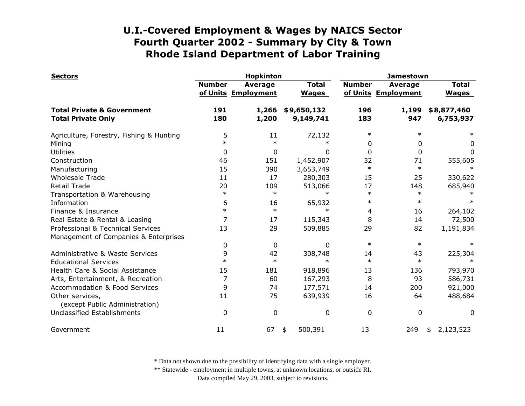| <b>Sectors</b>                                                     |               | <b>Hopkinton</b>                      |                              | <b>Jamestown</b> |                                       |                              |
|--------------------------------------------------------------------|---------------|---------------------------------------|------------------------------|------------------|---------------------------------------|------------------------------|
|                                                                    | <b>Number</b> | <b>Average</b><br>of Units Employment | <b>Total</b><br><b>Wages</b> | <b>Number</b>    | <b>Average</b><br>of Units Employment | <b>Total</b><br><b>Wages</b> |
| <b>Total Private &amp; Government</b><br><b>Total Private Only</b> | 191<br>180    | 1,266<br>1,200                        | \$9,650,132<br>9,149,741     | 196<br>183       | 1,199<br>947                          | \$8,877,460<br>6,753,937     |
| Agriculture, Forestry, Fishing & Hunting                           | 5             | 11                                    | 72,132                       | $\ast$           | $\ast$                                |                              |
| Mining                                                             | $\ast$        | $\ast$                                | $\ast$                       | 0                | 0                                     | 0                            |
| <b>Utilities</b>                                                   | 0             | 0                                     | 0                            | 0                | 0                                     | $\Omega$                     |
| Construction                                                       | 46            | 151                                   | 1,452,907                    | 32               | 71                                    | 555,605                      |
| Manufacturing                                                      | 15            | 390                                   | 3,653,749                    | $\ast$           | $\ast$                                |                              |
| <b>Wholesale Trade</b>                                             | 11            | 17                                    | 280,303                      | 15               | 25                                    | 330,622                      |
| <b>Retail Trade</b>                                                | 20            | 109                                   | 513,066                      | 17               | 148                                   | 685,940                      |
| Transportation & Warehousing                                       | $\ast$        | $\ast$                                | $\ast$                       | $\ast$           | $\ast$                                |                              |
| Information                                                        | 6             | 16                                    | 65,932                       | $\ast$           | $\ast$                                |                              |
| Finance & Insurance                                                | $\ast$        | $\ast$                                | $\ast$                       | 4                | 16                                    | 264,102                      |
| Real Estate & Rental & Leasing                                     |               | 17                                    | 115,343                      | 8                | 14                                    | 72,500                       |
| Professional & Technical Services                                  | 13            | 29                                    | 509,885                      | 29               | 82                                    | 1,191,834                    |
| Management of Companies & Enterprises                              |               |                                       |                              |                  |                                       |                              |
|                                                                    | 0             | 0                                     | $\Omega$                     | $\ast$           | $\ast$                                |                              |
| Administrative & Waste Services                                    | 9             | 42                                    | 308,748                      | 14               | 43                                    | 225,304                      |
| <b>Educational Services</b>                                        | $\ast$        | $\ast$                                | $\ast$                       | $\ast$           | $\ast$                                | $\ast$                       |
| Health Care & Social Assistance                                    | 15            | 181                                   | 918,896                      | 13               | 136                                   | 793,970                      |
| Arts, Entertainment, & Recreation                                  | 7             | 60                                    | 167,293                      | 8                | 93                                    | 586,731                      |
| Accommodation & Food Services                                      | 9             | 74                                    | 177,571                      | 14               | 200                                   | 921,000                      |
| Other services,<br>(except Public Administration)                  | 11            | 75                                    | 639,939                      | 16               | 64                                    | 488,684                      |
| Unclassified Establishments                                        | $\mathbf{0}$  | $\mathbf 0$                           | 0                            | 0                | 0                                     | 0                            |
| Government                                                         | 11            | 67                                    | 500,391<br>\$                | 13               | 249                                   | 2,123,523<br>\$              |

\* Data not shown due to the possibility of identifying data with a single employer.

\*\* Statewide - employment in multiple towns, at unknown locations, or outside RI.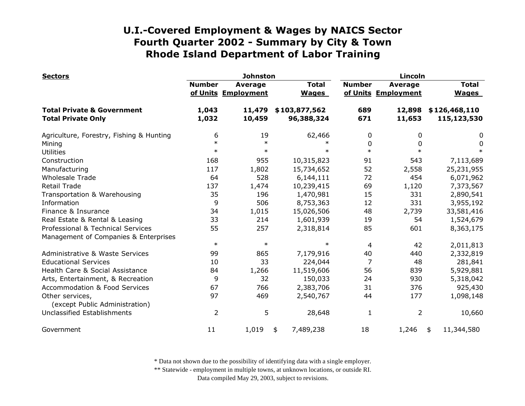| <b>Sectors</b>                                    | <b>Johnston</b> |                                       |                              | Lincoln       |                                       |                              |
|---------------------------------------------------|-----------------|---------------------------------------|------------------------------|---------------|---------------------------------------|------------------------------|
|                                                   | <b>Number</b>   | <b>Average</b><br>of Units Employment | <b>Total</b><br><b>Wages</b> | <b>Number</b> | <b>Average</b><br>of Units Employment | <b>Total</b><br><b>Wages</b> |
| <b>Total Private &amp; Government</b>             | 1,043           | 11,479                                | \$103,877,562                | 689           | 12,898                                | \$126,468,110                |
| <b>Total Private Only</b>                         | 1,032           | 10,459                                | 96,388,324                   | 671           | 11,653                                | 115,123,530                  |
| Agriculture, Forestry, Fishing & Hunting          | 6               | 19                                    | 62,466                       | 0             | 0                                     | 0                            |
| Mining                                            | $\ast$          | $\ast$                                | $\ast$                       | 0             | O                                     | 0                            |
| <b>Utilities</b>                                  | $\ast$          | $\ast$                                | $\ast$                       | $\ast$        | $\ast$                                | $\ast$                       |
| Construction                                      | 168             | 955                                   | 10,315,823                   | 91            | 543                                   | 7,113,689                    |
| Manufacturing                                     | 117             | 1,802                                 | 15,734,652                   | 52            | 2,558                                 | 25,231,955                   |
| <b>Wholesale Trade</b>                            | 64              | 528                                   | 6,144,111                    | 72            | 454                                   | 6,071,962                    |
| <b>Retail Trade</b>                               | 137             | 1,474                                 | 10,239,415                   | 69            | 1,120                                 | 7,373,567                    |
| Transportation & Warehousing                      | 35              | 196                                   | 1,470,981                    | 15            | 331                                   | 2,890,541                    |
| Information                                       | 9               | 506                                   | 8,753,363                    | 12            | 331                                   | 3,955,192                    |
| Finance & Insurance                               | 34              | 1,015                                 | 15,026,506                   | 48            | 2,739                                 | 33,581,416                   |
| Real Estate & Rental & Leasing                    | 33              | 214                                   | 1,601,939                    | 19            | 54                                    | 1,524,679                    |
| Professional & Technical Services                 | 55              | 257                                   | 2,318,814                    | 85            | 601                                   | 8,363,175                    |
| Management of Companies & Enterprises             |                 |                                       |                              |               |                                       |                              |
|                                                   | $\ast$          | $\ast$                                | $\ast$                       | 4             | 42                                    | 2,011,813                    |
| Administrative & Waste Services                   | 99              | 865                                   | 7,179,916                    | 40            | 440                                   | 2,332,819                    |
| <b>Educational Services</b>                       | 10              | 33                                    | 224,044                      | 7             | 48                                    | 281,841                      |
| Health Care & Social Assistance                   | 84              | 1,266                                 | 11,519,606                   | 56            | 839                                   | 5,929,881                    |
| Arts, Entertainment, & Recreation                 | 9               | 32                                    | 150,033                      | 24            | 930                                   | 5,318,042                    |
| <b>Accommodation &amp; Food Services</b>          | 67              | 766                                   | 2,383,706                    | 31            | 376                                   | 925,430                      |
| Other services,<br>(except Public Administration) | 97              | 469                                   | 2,540,767                    | 44            | 177                                   | 1,098,148                    |
| Unclassified Establishments                       | $\overline{2}$  | 5                                     | 28,648                       | $\mathbf{1}$  | $\overline{2}$                        | 10,660                       |
| Government                                        | 11              | 1,019                                 | 7,489,238<br>\$              | 18            | 1,246                                 | 11,344,580<br>\$             |

\* Data not shown due to the possibility of identifying data with a single employer.

\*\* Statewide - employment in multiple towns, at unknown locations, or outside RI.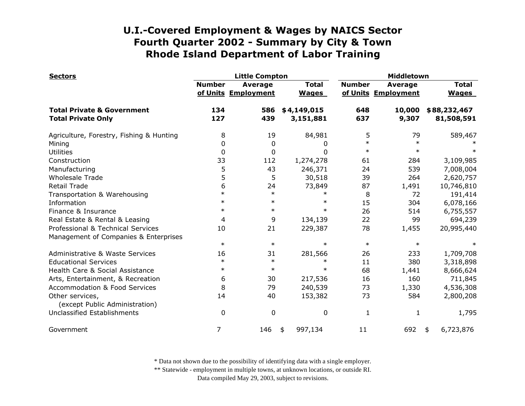| <b>Sectors</b>                                                     |               | <b>Little Compton</b>                 |                              | Middletown    |                                       |                              |
|--------------------------------------------------------------------|---------------|---------------------------------------|------------------------------|---------------|---------------------------------------|------------------------------|
|                                                                    | <b>Number</b> | <b>Average</b><br>of Units Employment | <b>Total</b><br><b>Wages</b> | <b>Number</b> | <b>Average</b><br>of Units Employment | <b>Total</b><br><b>Wages</b> |
| <b>Total Private &amp; Government</b><br><b>Total Private Only</b> | 134<br>127    | 586<br>439                            | \$4,149,015<br>3,151,881     | 648<br>637    | 10,000<br>9,307                       | \$88,232,467<br>81,508,591   |
|                                                                    |               |                                       |                              |               |                                       |                              |
| Agriculture, Forestry, Fishing & Hunting                           | 8             | 19                                    | 84,981                       | 5             | 79                                    | 589,467                      |
| Mining                                                             | 0             | 0                                     | 0                            | $\ast$        | $\ast$                                |                              |
| <b>Utilities</b>                                                   | 0             | 0                                     | $\Omega$                     | $\ast$        | $\ast$                                |                              |
| Construction                                                       | 33            | 112                                   | 1,274,278                    | 61            | 284                                   | 3,109,985                    |
| Manufacturing                                                      | 5             | 43                                    | 246,371                      | 24            | 539                                   | 7,008,004                    |
| <b>Wholesale Trade</b>                                             | 5             | 5                                     | 30,518                       | 39            | 264                                   | 2,620,757                    |
| <b>Retail Trade</b>                                                | 6             | 24                                    | 73,849                       | 87            | 1,491                                 | 10,746,810                   |
| Transportation & Warehousing                                       | $\ast$        | $\ast$                                | $\ast$                       | 8             | 72                                    | 191,414                      |
| Information                                                        | $\ast$        | $\ast$                                | $\ast$                       | 15            | 304                                   | 6,078,166                    |
| Finance & Insurance                                                | $\ast$        | $\ast$                                | $\ast$                       | 26            | 514                                   | 6,755,557                    |
| Real Estate & Rental & Leasing                                     | 4             | 9                                     | 134,139                      | 22            | 99                                    | 694,239                      |
| Professional & Technical Services                                  | 10            | 21                                    | 229,387                      | 78            | 1,455                                 | 20,995,440                   |
| Management of Companies & Enterprises                              |               |                                       |                              |               |                                       |                              |
|                                                                    | $\ast$        | $\ast$                                | $\ast$                       | $\ast$        | $\ast$                                |                              |
| Administrative & Waste Services                                    | 16            | 31                                    | 281,566                      | 26            | 233                                   | 1,709,708                    |
| <b>Educational Services</b>                                        | $\ast$        | $\ast$                                | $\ast$                       | 11            | 380                                   | 3,318,898                    |
| Health Care & Social Assistance                                    | $\ast$        | $\ast$                                | $\ast$                       | 68            | 1,441                                 | 8,666,624                    |
| Arts, Entertainment, & Recreation                                  | 6             | 30                                    | 217,536                      | 16            | 160                                   | 711,845                      |
| <b>Accommodation &amp; Food Services</b>                           | 8             | 79                                    | 240,539                      | 73            | 1,330                                 | 4,536,308                    |
| Other services,<br>(except Public Administration)                  | 14            | 40                                    | 153,382                      | 73            | 584                                   | 2,800,208                    |
| Unclassified Establishments                                        | $\mathbf 0$   | 0                                     | 0                            | 1             | 1                                     | 1,795                        |
| Government                                                         | 7             | 146                                   | 997,134<br>\$                | 11            | 692                                   | 6,723,876<br>\$              |

\* Data not shown due to the possibility of identifying data with a single employer.

\*\* Statewide - employment in multiple towns, at unknown locations, or outside RI.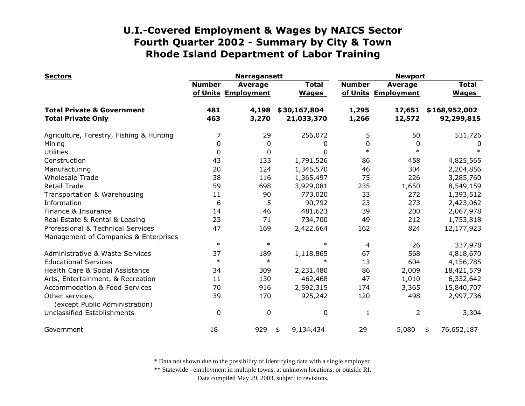| <b>Sectors</b>                                    |               | <b>Narragansett</b>                   |                              | <b>Newport</b> |                                       |                              |
|---------------------------------------------------|---------------|---------------------------------------|------------------------------|----------------|---------------------------------------|------------------------------|
|                                                   | <b>Number</b> | <b>Average</b><br>of Units Employment | <b>Total</b><br><b>Wages</b> | <b>Number</b>  | <b>Average</b><br>of Units Employment | <b>Total</b><br><b>Wages</b> |
| <b>Total Private &amp; Government</b>             | 481           | 4,198                                 | \$30,167,804                 | 1,295          | 17,651                                | \$168,952,002                |
| <b>Total Private Only</b>                         | 463           | 3,270                                 | 21,033,370                   | 1,266          | 12,572                                | 92,299,815                   |
| Agriculture, Forestry, Fishing & Hunting          | 7             | 29                                    | 256,072                      | 5              | 50                                    | 531,726                      |
| Mining                                            | $\mathbf{0}$  | 0                                     | 0                            | 0              | $\mathbf{0}$                          | 0                            |
| <b>Utilities</b>                                  | $\mathbf{0}$  | 0                                     | 0                            | $\ast$         | $\ast$                                | $\ast$                       |
| Construction                                      | 43            | 133                                   | 1,791,526                    | 86             | 458                                   | 4,825,565                    |
| Manufacturing                                     | 20            | 124                                   | 1,345,570                    | 46             | 304                                   | 2,204,856                    |
| <b>Wholesale Trade</b>                            | 38            | 116                                   | 1,365,497                    | 75             | 226                                   | 3,285,760                    |
| <b>Retail Trade</b>                               | 59            | 698                                   | 3,929,081                    | 235            | 1,650                                 | 8,549,159                    |
| Transportation & Warehousing                      | 11            | 90                                    | 773,020                      | 33             | 272                                   | 1,393,512                    |
| Information                                       | 6             | 5                                     | 90,792                       | 23             | 273                                   | 2,423,062                    |
| Finance & Insurance                               | 14            | 46                                    | 481,623                      | 39             | 200                                   | 2,067,978                    |
| Real Estate & Rental & Leasing                    | 23            | 71                                    | 734,700                      | 49             | 212                                   | 1,753,818                    |
| Professional & Technical Services                 | 47            | 169                                   | 2,422,664                    | 162            | 824                                   | 12,177,923                   |
| Management of Companies & Enterprises             |               |                                       |                              |                |                                       |                              |
|                                                   | $\ast$        | $\ast$                                | $\ast$                       | 4              | 26                                    | 337,978                      |
| Administrative & Waste Services                   | 37            | 189                                   | 1,118,865                    | 67             | 568                                   | 4,818,670                    |
| <b>Educational Services</b>                       | $\ast$        | $\ast$                                | $\ast$                       | 13             | 604                                   | 4,156,785                    |
| Health Care & Social Assistance                   | 34            | 309                                   | 2,231,480                    | 86             | 2,009                                 | 18,421,579                   |
| Arts, Entertainment, & Recreation                 | 11            | 130                                   | 462,468                      | 47             | 1,010                                 | 6,332,642                    |
| Accommodation & Food Services                     | 70            | 916                                   | 2,592,315                    | 174            | 3,365                                 | 15,840,707                   |
| Other services,<br>(except Public Administration) | 39            | 170                                   | 925,242                      | 120            | 498                                   | 2,997,736                    |
| Unclassified Establishments                       | 0             | $\boldsymbol{0}$                      | 0                            | 1              | $\overline{2}$                        | 3,304                        |
| Government                                        | 18            | 929                                   | 9,134,434<br>\$              | 29             | 5,080                                 | 76,652,187<br>\$             |

\* Data not shown due to the possibility of identifying data with a single employer.

\*\* Statewide - employment in multiple towns, at unknown locations, or outside RI.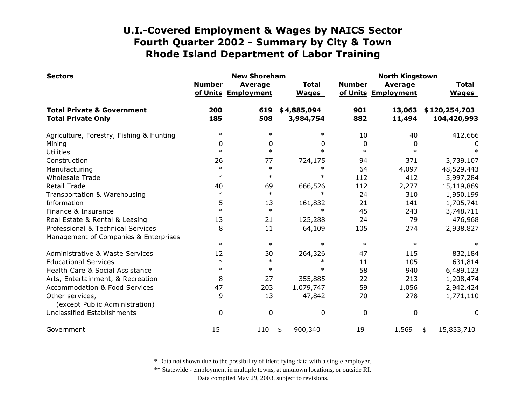| <b>Sectors</b>                                    |               | <b>New Shoreham</b>                   |                              | <b>North Kingstown</b> |                                |                              |  |
|---------------------------------------------------|---------------|---------------------------------------|------------------------------|------------------------|--------------------------------|------------------------------|--|
|                                                   | <b>Number</b> | <b>Average</b><br>of Units Employment | <b>Total</b><br><b>Wages</b> | <b>Number</b>          | Average<br>of Units Employment | <b>Total</b><br><b>Wages</b> |  |
| <b>Total Private &amp; Government</b>             | 200           | 619                                   | \$4,885,094                  | 901                    | 13,063                         | \$120,254,703                |  |
| <b>Total Private Only</b>                         | 185           | 508                                   | 3,984,754                    | 882                    | 11,494                         | 104,420,993                  |  |
| Agriculture, Forestry, Fishing & Hunting          | $\ast$        | $\ast$                                | $\ast$                       | 10                     | 40                             | 412,666                      |  |
| Mining                                            | 0             | 0                                     | 0                            | $\mathbf{0}$           | 0                              | 0                            |  |
| <b>Utilities</b>                                  | $\ast$        | $\ast$                                | $\ast$                       | $\ast$                 | $\ast$                         |                              |  |
| Construction                                      | 26            | 77                                    | 724,175                      | 94                     | 371                            | 3,739,107                    |  |
| Manufacturing                                     | $\ast$        | $\ast$                                | $\ast$                       | 64                     | 4,097                          | 48,529,443                   |  |
| <b>Wholesale Trade</b>                            | $\ast$        | $\ast$                                | $\ast$                       | 112                    | 412                            | 5,997,284                    |  |
| <b>Retail Trade</b>                               | 40            | 69                                    | 666,526                      | 112                    | 2,277                          | 15,119,869                   |  |
| Transportation & Warehousing                      | $\ast$        | $\ast$                                | $\ast$                       | 24                     | 310                            | 1,950,199                    |  |
| Information                                       | 5             | 13                                    | 161,832                      | 21                     | 141                            | 1,705,741                    |  |
| Finance & Insurance                               | $\ast$        | $\ast$                                | $\ast$                       | 45                     | 243                            | 3,748,711                    |  |
| Real Estate & Rental & Leasing                    | 13            | 21                                    | 125,288                      | 24                     | 79                             | 476,968                      |  |
| Professional & Technical Services                 | 8             | 11                                    | 64,109                       | 105                    | 274                            | 2,938,827                    |  |
| Management of Companies & Enterprises             |               |                                       |                              |                        |                                |                              |  |
|                                                   | $\ast$        | $\ast$                                | $\ast$                       | $\ast$                 | $\ast$                         |                              |  |
| Administrative & Waste Services                   | 12            | 30                                    | 264,326                      | 47                     | 115                            | 832,184                      |  |
| <b>Educational Services</b>                       | $\ast$        | $\ast$                                | $\ast$                       | 11                     | 105                            | 631,814                      |  |
| Health Care & Social Assistance                   | $\ast$        | $\ast$                                | $\ast$                       | 58                     | 940                            | 6,489,123                    |  |
| Arts, Entertainment, & Recreation                 | 8             | 27                                    | 355,885                      | 22                     | 213                            | 1,208,474                    |  |
| <b>Accommodation &amp; Food Services</b>          | 47            | 203                                   | 1,079,747                    | 59                     | 1,056                          | 2,942,424                    |  |
| Other services,<br>(except Public Administration) | 9             | 13                                    | 47,842                       | 70                     | 278                            | 1,771,110                    |  |
| Unclassified Establishments                       | 0             | $\mathbf 0$                           | 0                            | $\mathbf 0$            | 0                              | 0                            |  |
| Government                                        | 15            | 110                                   | 900,340<br>\$                | 19                     | 1,569                          | 15,833,710<br>\$             |  |

\* Data not shown due to the possibility of identifying data with a single employer.

\*\* Statewide - employment in multiple towns, at unknown locations, or outside RI.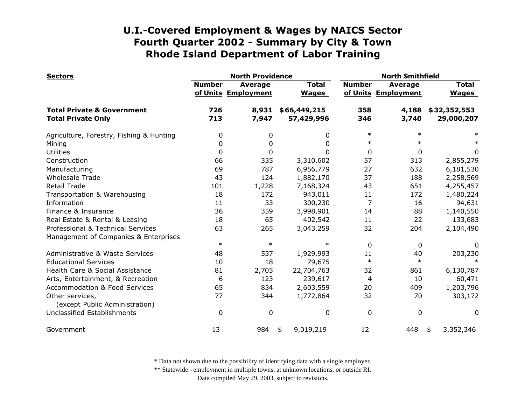| <b>Sectors</b>                                    | <b>North Providence</b> |                                       |                              |                | <b>North Smithfield</b>               |                              |  |
|---------------------------------------------------|-------------------------|---------------------------------------|------------------------------|----------------|---------------------------------------|------------------------------|--|
|                                                   | <b>Number</b>           | <b>Average</b><br>of Units Employment | <b>Total</b><br><b>Wages</b> | <b>Number</b>  | <b>Average</b><br>of Units Employment | <b>Total</b><br><b>Wages</b> |  |
| <b>Total Private &amp; Government</b>             | 726                     | 8,931                                 | \$66,449,215                 | 358            | 4,188                                 | \$32,352,553                 |  |
| <b>Total Private Only</b>                         | 713                     | 7,947                                 | 57,429,996                   | 346            | 3,740                                 | 29,000,207                   |  |
| Agriculture, Forestry, Fishing & Hunting          | 0                       | 0                                     | 0                            | $\ast$         | $\ast$                                |                              |  |
| Mining                                            | 0                       | 0                                     | 0                            | $\ast$         | $\ast$                                |                              |  |
| <b>Utilities</b>                                  | 0                       | 0                                     | $\Omega$                     | $\mathbf{0}$   | 0                                     | 0                            |  |
| Construction                                      | 66                      | 335                                   | 3,310,602                    | 57             | 313                                   | 2,855,279                    |  |
| Manufacturing                                     | 69                      | 787                                   | 6,956,779                    | 27             | 632                                   | 6,181,530                    |  |
| <b>Wholesale Trade</b>                            | 43                      | 124                                   | 1,882,170                    | 37             | 188                                   | 2,258,569                    |  |
| <b>Retail Trade</b>                               | 101                     | 1,228                                 | 7,168,324                    | 43             | 651                                   | 4,255,457                    |  |
| Transportation & Warehousing                      | 18                      | 172                                   | 943,011                      | 11             | 172                                   | 1,480,224                    |  |
| Information                                       | 11                      | 33                                    | 300,230                      | 7              | 16                                    | 94,631                       |  |
| Finance & Insurance                               | 36                      | 359                                   | 3,998,901                    | 14             | 88                                    | 1,140,550                    |  |
| Real Estate & Rental & Leasing                    | 18                      | 65                                    | 402,542                      | 11             | 22                                    | 133,683                      |  |
| Professional & Technical Services                 | 63                      | 265                                   | 3,043,259                    | 32             | 204                                   | 2,104,490                    |  |
| Management of Companies & Enterprises             |                         |                                       |                              |                |                                       |                              |  |
|                                                   | $\ast$                  | $\ast$                                | $\ast$                       | $\Omega$       | $\mathbf{0}$                          | 0                            |  |
| Administrative & Waste Services                   | 48                      | 537                                   | 1,929,993                    | 11             | 40                                    | 203,230                      |  |
| <b>Educational Services</b>                       | 10                      | 18                                    | 79,675                       | $\ast$         | $\ast$                                | $\ast$                       |  |
| Health Care & Social Assistance                   | 81                      | 2,705                                 | 22,704,763                   | 32             | 861                                   | 6,130,787                    |  |
| Arts, Entertainment, & Recreation                 | 6                       | 123                                   | 239,617                      | $\overline{4}$ | 10                                    | 60,471                       |  |
| Accommodation & Food Services                     | 65                      | 834                                   | 2,603,559                    | 20             | 409                                   | 1,203,796                    |  |
| Other services,<br>(except Public Administration) | 77                      | 344                                   | 1,772,864                    | 32             | 70                                    | 303,172                      |  |
| Unclassified Establishments                       | 0                       | 0                                     | 0                            | $\mathbf 0$    | 0                                     | 0                            |  |
| Government                                        | 13                      | 984                                   | 9,019,219<br>\$              | 12             | 448                                   | 3,352,346<br>\$              |  |

\* Data not shown due to the possibility of identifying data with a single employer.

\*\* Statewide - employment in multiple towns, at unknown locations, or outside RI.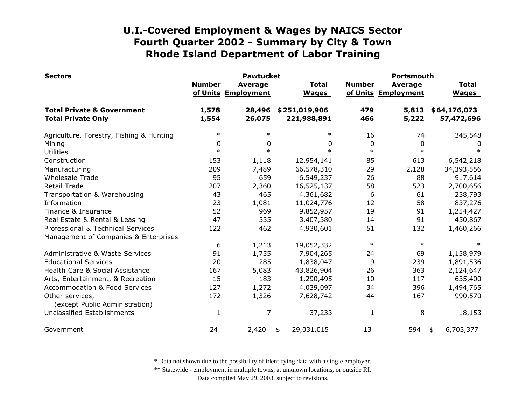| <b>Sectors</b>                                                     | <b>Pawtucket</b> |                                       |                              | Portsmouth    |                                       |                              |
|--------------------------------------------------------------------|------------------|---------------------------------------|------------------------------|---------------|---------------------------------------|------------------------------|
|                                                                    | <b>Number</b>    | <b>Average</b><br>of Units Employment | <b>Total</b><br><b>Wages</b> | <b>Number</b> | <b>Average</b><br>of Units Employment | <b>Total</b><br><b>Wages</b> |
| <b>Total Private &amp; Government</b><br><b>Total Private Only</b> | 1,578<br>1,554   | 28,496<br>26,075                      | \$251,019,906<br>221,988,891 | 479<br>466    | 5,813<br>5,222                        | \$64,176,073<br>57,472,696   |
|                                                                    |                  |                                       |                              |               |                                       |                              |
| Agriculture, Forestry, Fishing & Hunting                           | $\ast$           | $\ast$                                | $\ast$                       | 16            | 74                                    | 345,548                      |
| Mining                                                             | 0                | 0                                     | 0                            | 0             | 0                                     | O                            |
| <b>Utilities</b>                                                   | $\ast$           | $\ast$                                | $\ast$                       | $\ast$        | $\ast$                                |                              |
| Construction                                                       | 153              | 1,118                                 | 12,954,141                   | 85            | 613                                   | 6,542,218                    |
| Manufacturing                                                      | 209              | 7,489                                 | 66,578,310                   | 29            | 2,128                                 | 34,393,556                   |
| <b>Wholesale Trade</b>                                             | 95               | 659                                   | 6,549,237                    | 26            | 88                                    | 917,614                      |
| Retail Trade                                                       | 207              | 2,360                                 | 16,525,137                   | 58            | 523                                   | 2,700,656                    |
| Transportation & Warehousing                                       | 43               | 465                                   | 4,361,682                    | 6             | 61                                    | 238,793                      |
| Information                                                        | 23               | 1,081                                 | 11,024,776                   | 12            | 58                                    | 837,276                      |
| Finance & Insurance                                                | 52               | 969                                   | 9,852,957                    | 19            | 91                                    | 1,254,427                    |
| Real Estate & Rental & Leasing                                     | 47               | 335                                   | 3,407,380                    | 14            | 91                                    | 450,867                      |
| Professional & Technical Services                                  | 122              | 462                                   | 4,930,601                    | 51            | 132                                   | 1,460,266                    |
| Management of Companies & Enterprises                              |                  |                                       |                              |               |                                       |                              |
|                                                                    | 6                | 1,213                                 | 19,052,332                   | $\ast$        | $\ast$                                | $\ast$                       |
| Administrative & Waste Services                                    | 91               | 1,755                                 | 7,904,265                    | 24            | 69                                    | 1,158,979                    |
| <b>Educational Services</b>                                        | 20               | 285                                   | 1,838,047                    | 9             | 239                                   | 1,891,536                    |
| Health Care & Social Assistance                                    | 167              | 5,083                                 | 43,826,904                   | 26            | 363                                   | 2,124,647                    |
| Arts, Entertainment, & Recreation                                  | 15               | 183                                   | 1,290,495                    | 10            | 117                                   | 635,400                      |
| Accommodation & Food Services                                      | 127              | 1,272                                 | 4,039,097                    | 34            | 396                                   | 1,494,765                    |
| Other services,<br>(except Public Administration)                  | 172              | 1,326                                 | 7,628,742                    | 44            | 167                                   | 990,570                      |
| Unclassified Establishments                                        | $\mathbf{1}$     | 7                                     | 37,233                       | 1             | 8                                     | 18,153                       |
| Government                                                         | 24               | 2,420                                 | 29,031,015<br>\$             | 13            | 594                                   | 6,703,377<br>\$              |

\* Data not shown due to the possibility of identifying data with a single employer.

\*\* Statewide - employment in multiple towns, at unknown locations, or outside RI.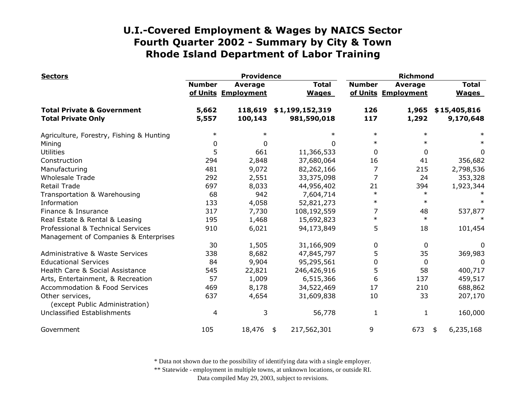| <b>Sectors</b>                                    |               | <b>Providence</b>              |                              | <b>Richmond</b> |                                       |                              |
|---------------------------------------------------|---------------|--------------------------------|------------------------------|-----------------|---------------------------------------|------------------------------|
|                                                   | <b>Number</b> | Average<br>of Units Employment | <b>Total</b><br><b>Wages</b> | <b>Number</b>   | <b>Average</b><br>of Units Employment | <b>Total</b><br><b>Wages</b> |
| <b>Total Private &amp; Government</b>             | 5,662         | 118,619                        | \$1,199,152,319              | 126             | 1,965                                 | \$15,405,816                 |
| <b>Total Private Only</b>                         | 5,557         | 100,143                        | 981,590,018                  | 117             | 1,292                                 | 9,170,648                    |
| Agriculture, Forestry, Fishing & Hunting          | $\ast$        | $\ast$                         | $\ast$                       | $\ast$          | $\ast$                                |                              |
| Mining                                            | 0             | 0                              | $\Omega$                     | $\ast$          | $\ast$                                |                              |
| <b>Utilities</b>                                  | 5             | 661                            | 11,366,533                   | 0               | $\Omega$                              | 0                            |
| Construction                                      | 294           | 2,848                          | 37,680,064                   | 16              | 41                                    | 356,682                      |
| Manufacturing                                     | 481           | 9,072                          | 82,262,166                   | 7               | 215                                   | 2,798,536                    |
| <b>Wholesale Trade</b>                            | 292           | 2,551                          | 33,375,098                   | $\overline{7}$  | 24                                    | 353,328                      |
| <b>Retail Trade</b>                               | 697           | 8,033                          | 44,956,402                   | 21              | 394                                   | 1,923,344                    |
| Transportation & Warehousing                      | 68            | 942                            | 7,604,714                    | $\ast$          | $\ast$                                |                              |
| Information                                       | 133           | 4,058                          | 52,821,273                   | $\ast$          | $\ast$                                |                              |
| Finance & Insurance                               | 317           | 7,730                          | 108,192,559                  | 7               | 48                                    | 537,877                      |
| Real Estate & Rental & Leasing                    | 195           | 1,468                          | 15,692,823                   | $\ast$          | $\ast$                                |                              |
| Professional & Technical Services                 | 910           | 6,021                          | 94,173,849                   | 5               | 18                                    | 101,454                      |
| Management of Companies & Enterprises             |               |                                |                              |                 |                                       |                              |
|                                                   | 30            | 1,505                          | 31,166,909                   | 0               | 0                                     | 0                            |
| Administrative & Waste Services                   | 338           | 8,682                          | 47,845,797                   | 5               | 35                                    | 369,983                      |
| <b>Educational Services</b>                       | 84            | 9,904                          | 95,295,561                   | 0               | 0                                     | 0                            |
| Health Care & Social Assistance                   | 545           | 22,821                         | 246,426,916                  | 5               | 58                                    | 400,717                      |
| Arts, Entertainment, & Recreation                 | 57            | 1,009                          | 6,515,366                    | 6               | 137                                   | 459,517                      |
| <b>Accommodation &amp; Food Services</b>          | 469           | 8,178                          | 34,522,469                   | 17              | 210                                   | 688,862                      |
| Other services,<br>(except Public Administration) | 637           | 4,654                          | 31,609,838                   | 10              | 33                                    | 207,170                      |
| Unclassified Establishments                       | 4             | 3                              | 56,778                       | 1               | 1                                     | 160,000                      |
| Government                                        | 105           | 18,476                         | 217,562,301<br>\$            | 9               | 673                                   | 6,235,168<br>\$              |

\* Data not shown due to the possibility of identifying data with a single employer.

\*\* Statewide - employment in multiple towns, at unknown locations, or outside RI.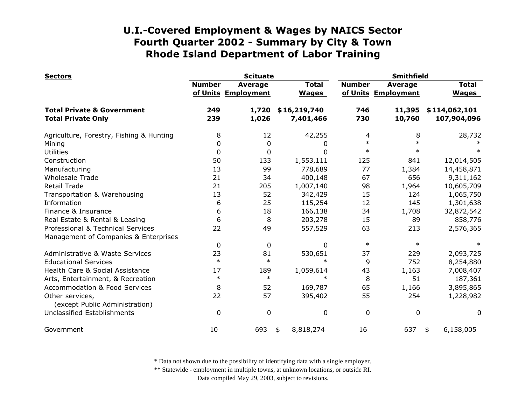| <b>Sectors</b>                                    | <b>Scituate</b> |                                       |                              | <b>Smithfield</b> |                                       |                              |
|---------------------------------------------------|-----------------|---------------------------------------|------------------------------|-------------------|---------------------------------------|------------------------------|
|                                                   | <b>Number</b>   | <b>Average</b><br>of Units Employment | <b>Total</b><br><b>Wages</b> | <b>Number</b>     | <b>Average</b><br>of Units Employment | <b>Total</b><br><b>Wages</b> |
| <b>Total Private &amp; Government</b>             | 249             | 1,720                                 | \$16,219,740                 | 746               | 11,395                                | \$114,062,101                |
| <b>Total Private Only</b>                         | 239             | 1,026                                 | 7,401,466                    | 730               | 10,760                                | 107,904,096                  |
| Agriculture, Forestry, Fishing & Hunting          | 8               | 12                                    | 42,255                       | 4                 | 8                                     | 28,732                       |
| Mining                                            | 0               | 0                                     | 0                            | $\ast$            | $\ast$                                |                              |
| <b>Utilities</b>                                  | 0               | 0                                     | 0                            | $\ast$            | $\ast$                                |                              |
| Construction                                      | 50              | 133                                   | 1,553,111                    | 125               | 841                                   | 12,014,505                   |
| Manufacturing                                     | 13              | 99                                    | 778,689                      | 77                | 1,384                                 | 14,458,871                   |
| <b>Wholesale Trade</b>                            | 21              | 34                                    | 400,148                      | 67                | 656                                   | 9,311,162                    |
| <b>Retail Trade</b>                               | 21              | 205                                   | 1,007,140                    | 98                | 1,964                                 | 10,605,709                   |
| Transportation & Warehousing                      | 13              | 52                                    | 342,429                      | 15                | 124                                   | 1,065,750                    |
| Information                                       | 6               | 25                                    | 115,254                      | 12                | 145                                   | 1,301,638                    |
| Finance & Insurance                               | 6               | 18                                    | 166,138                      | 34                | 1,708                                 | 32,872,542                   |
| Real Estate & Rental & Leasing                    | 6               | 8                                     | 203,278                      | 15                | 89                                    | 858,776                      |
| Professional & Technical Services                 | 22              | 49                                    | 557,529                      | 63                | 213                                   | 2,576,365                    |
| Management of Companies & Enterprises             |                 |                                       |                              |                   |                                       |                              |
|                                                   | $\mathbf{0}$    | 0                                     | 0                            | $\ast$            | $\ast$                                |                              |
| Administrative & Waste Services                   | 23              | 81                                    | 530,651                      | 37                | 229                                   | 2,093,725                    |
| <b>Educational Services</b>                       | $\ast$          | $\ast$                                | $\ast$                       | 9                 | 752                                   | 8,254,880                    |
| Health Care & Social Assistance                   | 17              | 189                                   | 1,059,614                    | 43                | 1,163                                 | 7,008,407                    |
| Arts, Entertainment, & Recreation                 | $\ast$          | $\ast$                                | $\ast$                       | 8                 | 51                                    | 187,361                      |
| <b>Accommodation &amp; Food Services</b>          | 8               | 52                                    | 169,787                      | 65                | 1,166                                 | 3,895,865                    |
| Other services,<br>(except Public Administration) | 22              | 57                                    | 395,402                      | 55                | 254                                   | 1,228,982                    |
| Unclassified Establishments                       | 0               | 0                                     | 0                            | 0                 | 0                                     | 0                            |
| Government                                        | 10              | 693                                   | 8,818,274<br>\$              | 16                | 637                                   | 6,158,005<br>\$              |

\* Data not shown due to the possibility of identifying data with a single employer.

\*\* Statewide - employment in multiple towns, at unknown locations, or outside RI.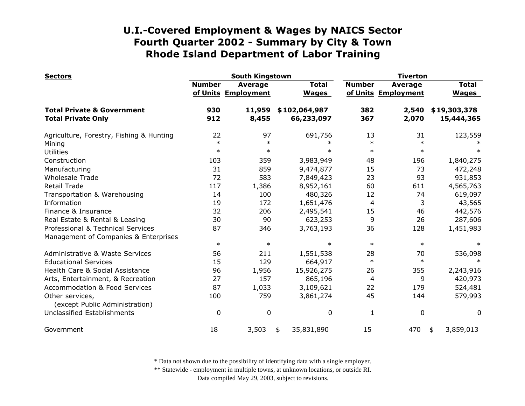| <b>Sectors</b>                                    |               | <b>South Kingstown</b>                |                              | <b>Tiverton</b> |                                |                              |
|---------------------------------------------------|---------------|---------------------------------------|------------------------------|-----------------|--------------------------------|------------------------------|
|                                                   | <b>Number</b> | <b>Average</b><br>of Units Employment | <b>Total</b><br><b>Wages</b> | <b>Number</b>   | Average<br>of Units Employment | <b>Total</b><br><b>Wages</b> |
| <b>Total Private &amp; Government</b>             | 930           | 11,959                                | \$102,064,987                | 382             | 2,540                          | \$19,303,378                 |
| <b>Total Private Only</b>                         | 912           | 8,455                                 | 66,233,097                   | 367             | 2,070                          | 15,444,365                   |
| Agriculture, Forestry, Fishing & Hunting          | 22            | 97                                    | 691,756                      | 13              | 31                             | 123,559                      |
| Mining                                            | $\ast$        | $\ast$                                | $\ast$                       | $\ast$          | $\ast$                         |                              |
| <b>Utilities</b>                                  | $\ast$        | $\ast$                                | $\ast$                       | $\ast$          | $\ast$                         |                              |
| Construction                                      | 103           | 359                                   | 3,983,949                    | 48              | 196                            | 1,840,275                    |
| Manufacturing                                     | 31            | 859                                   | 9,474,877                    | 15              | 73                             | 472,248                      |
| <b>Wholesale Trade</b>                            | 72            | 583                                   | 7,849,423                    | 23              | 93                             | 931,853                      |
| <b>Retail Trade</b>                               | 117           | 1,386                                 | 8,952,161                    | 60              | 611                            | 4,565,763                    |
| Transportation & Warehousing                      | 14            | 100                                   | 480,326                      | 12              | 74                             | 619,097                      |
| Information                                       | 19            | 172                                   | 1,651,476                    | $\overline{4}$  | 3                              | 43,565                       |
| Finance & Insurance                               | 32            | 206                                   | 2,495,541                    | 15              | 46                             | 442,576                      |
| Real Estate & Rental & Leasing                    | 30            | 90                                    | 623,253                      | 9               | 26                             | 287,606                      |
| Professional & Technical Services                 | 87            | 346                                   | 3,763,193                    | 36              | 128                            | 1,451,983                    |
| Management of Companies & Enterprises             |               |                                       |                              |                 |                                |                              |
|                                                   | $\ast$        | $\ast$                                | $\ast$                       | $\ast$          | $\ast$                         |                              |
| Administrative & Waste Services                   | 56            | 211                                   | 1,551,538                    | 28              | 70                             | 536,098                      |
| <b>Educational Services</b>                       | 15            | 129                                   | 664,917                      | $\ast$          | $\ast$                         | $\ast$                       |
| Health Care & Social Assistance                   | 96            | 1,956                                 | 15,926,275                   | 26              | 355                            | 2,243,916                    |
| Arts, Entertainment, & Recreation                 | 27            | 157                                   | 865,196                      | 4               | 9                              | 420,973                      |
| Accommodation & Food Services                     | 87            | 1,033                                 | 3,109,621                    | 22              | 179                            | 524,481                      |
| Other services,<br>(except Public Administration) | 100           | 759                                   | 3,861,274                    | 45              | 144                            | 579,993                      |
| Unclassified Establishments                       | $\mathbf{0}$  | $\mathbf 0$                           | 0                            | 1               | 0                              | 0                            |
| Government                                        | 18            | 3,503                                 | 35,831,890<br>\$             | 15              | 470                            | 3,859,013<br>\$              |

\* Data not shown due to the possibility of identifying data with a single employer.

\*\* Statewide - employment in multiple towns, at unknown locations, or outside RI.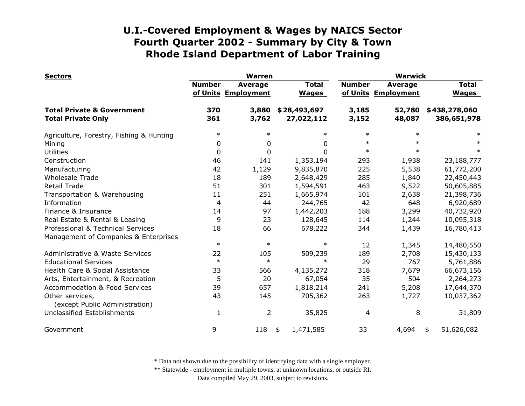| <b>Sectors</b>                                                     | <b>Warren</b> |                                       |                              | <b>Warwick</b> |                                       |                              |
|--------------------------------------------------------------------|---------------|---------------------------------------|------------------------------|----------------|---------------------------------------|------------------------------|
|                                                                    | <b>Number</b> | <b>Average</b><br>of Units Employment | <b>Total</b><br><b>Wages</b> | <b>Number</b>  | <b>Average</b><br>of Units Employment | <b>Total</b><br><b>Wages</b> |
| <b>Total Private &amp; Government</b><br><b>Total Private Only</b> | 370<br>361    | 3,880<br>3,762                        | \$28,493,697<br>27,022,112   | 3,185<br>3,152 | 52,780<br>48,087                      | \$438,278,060<br>386,651,978 |
| Agriculture, Forestry, Fishing & Hunting                           | $\ast$        | $\ast$                                | $\ast$                       | $\ast$         | $\ast$                                |                              |
| Mining                                                             | 0             | 0                                     | 0                            | $\ast$         | $\ast$                                |                              |
| <b>Utilities</b>                                                   | 0             | $\mathbf{0}$                          | 0                            | $\ast$         | $\ast$                                | $\ast$                       |
| Construction                                                       | 46            | 141                                   | 1,353,194                    | 293            | 1,938                                 | 23,188,777                   |
| Manufacturing                                                      | 42            | 1,129                                 | 9,835,870                    | 225            | 5,538                                 | 61,772,200                   |
| <b>Wholesale Trade</b>                                             | 18            | 189                                   | 2,648,429                    | 285            | 1,840                                 | 22,450,443                   |
| <b>Retail Trade</b>                                                | 51            | 301                                   | 1,594,591                    | 463            | 9,522                                 | 50,605,885                   |
| Transportation & Warehousing                                       | 11            | 251                                   | 1,665,974                    | 101            | 2,638                                 | 21,398,736                   |
| Information                                                        | 4             | 44                                    | 244,765                      | 42             | 648                                   | 6,920,689                    |
| Finance & Insurance                                                | 14            | 97                                    | 1,442,203                    | 188            | 3,299                                 | 40,732,920                   |
| Real Estate & Rental & Leasing                                     | 9             | 23                                    | 128,645                      | 114            | 1,244                                 | 10,095,318                   |
| Professional & Technical Services                                  | 18            | 66                                    | 678,222                      | 344            | 1,439                                 | 16,780,413                   |
| Management of Companies & Enterprises                              |               |                                       |                              |                |                                       |                              |
|                                                                    | $\ast$        | $\ast$                                | $\ast$                       | 12             | 1,345                                 | 14,480,550                   |
| Administrative & Waste Services                                    | 22            | 105                                   | 509,239                      | 189            | 2,708                                 | 15,430,133                   |
| <b>Educational Services</b>                                        | $\ast$        | $\ast$                                | $\ast$                       | 29             | 767                                   | 5,761,886                    |
| Health Care & Social Assistance                                    | 33            | 566                                   | 4,135,272                    | 318            | 7,679                                 | 66,673,156                   |
| Arts, Entertainment, & Recreation                                  | 5             | 20                                    | 67,054                       | 35             | 504                                   | 2,264,273                    |
| <b>Accommodation &amp; Food Services</b>                           | 39            | 657                                   | 1,818,214                    | 241            | 5,208                                 | 17,644,370                   |
| Other services,<br>(except Public Administration)                  | 43            | 145                                   | 705,362                      | 263            | 1,727                                 | 10,037,362                   |
| Unclassified Establishments                                        | 1             | $\overline{2}$                        | 35,825                       | 4              | 8                                     | 31,809                       |
| Government                                                         | 9             | 118                                   | 1,471,585<br>\$              | 33             | 4,694                                 | 51,626,082<br>\$             |

\* Data not shown due to the possibility of identifying data with a single employer.

\*\* Statewide - employment in multiple towns, at unknown locations, or outside RI.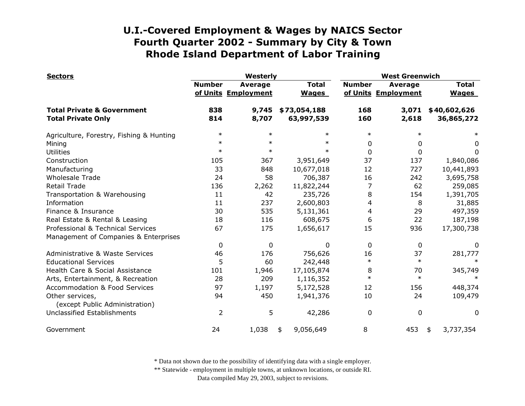| <b>Sectors</b>                                    | Westerly      |                                       |                              | <b>West Greenwich</b> |                                |                              |
|---------------------------------------------------|---------------|---------------------------------------|------------------------------|-----------------------|--------------------------------|------------------------------|
|                                                   | <b>Number</b> | <b>Average</b><br>of Units Employment | <b>Total</b><br><b>Wages</b> | <b>Number</b>         | Average<br>of Units Employment | <b>Total</b><br><b>Wages</b> |
| <b>Total Private &amp; Government</b>             | 838           | 9,745                                 | \$73,054,188                 | 168                   | 3,071                          | \$40,602,626                 |
| <b>Total Private Only</b>                         | 814           | 8,707                                 | 63,997,539                   | 160                   | 2,618                          | 36,865,272                   |
| Agriculture, Forestry, Fishing & Hunting          | $\ast$        | $\ast$                                | $\ast$                       | $\ast$                | $\ast$                         |                              |
| Mining                                            | $\ast$        | $\ast$                                | $\ast$                       | 0                     | 0                              | 0                            |
| <b>Utilities</b>                                  | $\ast$        | $\ast$                                | $\ast$                       | $\mathbf{0}$          | $\Omega$                       | 0                            |
| Construction                                      | 105           | 367                                   | 3,951,649                    | 37                    | 137                            | 1,840,086                    |
| Manufacturing                                     | 33            | 848                                   | 10,677,018                   | 12                    | 727                            | 10,441,893                   |
| <b>Wholesale Trade</b>                            | 24            | 58                                    | 706,387                      | 16                    | 242                            | 3,695,758                    |
| Retail Trade                                      | 136           | 2,262                                 | 11,822,244                   | 7                     | 62                             | 259,085                      |
| Transportation & Warehousing                      | 11            | 42                                    | 235,726                      | 8                     | 154                            | 1,391,705                    |
| Information                                       | 11            | 237                                   | 2,600,803                    | 4                     | 8                              | 31,885                       |
| Finance & Insurance                               | 30            | 535                                   | 5,131,361                    | 4                     | 29                             | 497,359                      |
| Real Estate & Rental & Leasing                    | 18            | 116                                   | 608,675                      | 6                     | 22                             | 187,198                      |
| Professional & Technical Services                 | 67            | 175                                   | 1,656,617                    | 15                    | 936                            | 17,300,738                   |
| Management of Companies & Enterprises             |               |                                       |                              |                       |                                |                              |
|                                                   | 0             | $\mathbf{0}$                          | 0                            | $\mathbf{0}$          | 0                              | 0                            |
| Administrative & Waste Services                   | 46            | 176                                   | 756,626                      | 16                    | 37                             | 281,777                      |
| <b>Educational Services</b>                       | 5             | 60                                    | 242,448                      | $\ast$                | $\ast$                         | $\ast$                       |
| Health Care & Social Assistance                   | 101           | 1,946                                 | 17,105,874                   | 8                     | 70                             | 345,749                      |
| Arts, Entertainment, & Recreation                 | 28            | 209                                   | 1,116,352                    | $\ast$                | $\ast$                         |                              |
| Accommodation & Food Services                     | 97            | 1,197                                 | 5,172,528                    | 12                    | 156                            | 448,374                      |
| Other services,<br>(except Public Administration) | 94            | 450                                   | 1,941,376                    | 10                    | 24                             | 109,479                      |
| Unclassified Establishments                       | 2             | 5                                     | 42,286                       | $\mathbf 0$           | $\mathbf 0$                    | $\mathbf{0}$                 |
| Government                                        | 24            | 1,038                                 | 9,056,649<br>\$              | 8                     | 453                            | 3,737,354<br>\$              |

\* Data not shown due to the possibility of identifying data with a single employer.

\*\* Statewide - employment in multiple towns, at unknown locations, or outside RI.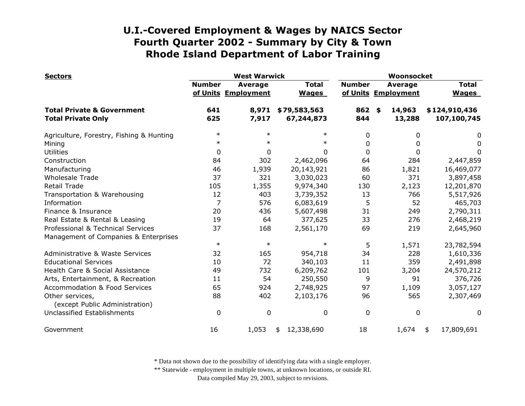| <b>Sectors</b>                                                     | <b>West Warwick</b> |                                       |                              | Woonsocket    |                                       |                              |
|--------------------------------------------------------------------|---------------------|---------------------------------------|------------------------------|---------------|---------------------------------------|------------------------------|
|                                                                    | <b>Number</b>       | <b>Average</b><br>of Units Employment | <b>Total</b><br><b>Wages</b> | <b>Number</b> | <b>Average</b><br>of Units Employment | <b>Total</b><br><b>Wages</b> |
| <b>Total Private &amp; Government</b><br><b>Total Private Only</b> | 641<br>625          | 8,971<br>7,917                        | \$79,583,563<br>67,244,873   | 862<br>844    | 14,963<br>\$<br>13,288                | \$124,910,436<br>107,100,745 |
|                                                                    |                     |                                       |                              |               |                                       |                              |
| Agriculture, Forestry, Fishing & Hunting                           | $\ast$              | $\ast$                                | $\ast$                       | 0             | 0                                     | 0                            |
| Mining                                                             | $\ast$              | $\ast$                                | $\ast$                       | 0             | 0                                     | 0                            |
| <b>Utilities</b>                                                   | $\mathbf{0}$        | $\mathbf{0}$                          | 0                            | $\Omega$      | 0                                     | 0                            |
| Construction                                                       | 84                  | 302                                   | 2,462,096                    | 64            | 284                                   | 2,447,859                    |
| Manufacturing                                                      | 46                  | 1,939                                 | 20,143,921                   | 86            | 1,821                                 | 16,469,077                   |
| <b>Wholesale Trade</b>                                             | 37                  | 321                                   | 3,030,023                    | 60            | 371                                   | 3,897,458                    |
| Retail Trade                                                       | 105                 | 1,355                                 | 9,974,340                    | 130           | 2,123                                 | 12,201,870                   |
| Transportation & Warehousing                                       | 12                  | 403                                   | 3,739,352                    | 13            | 766                                   | 5,517,926                    |
| Information                                                        | 7                   | 576                                   | 6,083,619                    | 5             | 52                                    | 465,703                      |
| Finance & Insurance                                                | 20                  | 436                                   | 5,607,498                    | 31            | 249                                   | 2,790,311                    |
| Real Estate & Rental & Leasing                                     | 19                  | 64                                    | 377,625                      | 33            | 276                                   | 2,468,219                    |
| Professional & Technical Services                                  | 37                  | 168                                   | 2,561,170                    | 69            | 219                                   | 2,645,960                    |
| Management of Companies & Enterprises                              |                     |                                       |                              |               |                                       |                              |
|                                                                    | $\ast$              | $\ast$                                | $\ast$                       | 5             | 1,571                                 | 23,782,594                   |
| Administrative & Waste Services                                    | 32                  | 165                                   | 954,718                      | 34            | 228                                   | 1,610,336                    |
| <b>Educational Services</b>                                        | 10                  | 72                                    | 340,103                      | 11            | 359                                   | 2,491,898                    |
| Health Care & Social Assistance                                    | 49                  | 732                                   | 6,209,762                    | 101           | 3,204                                 | 24,570,212                   |
| Arts, Entertainment, & Recreation                                  | 11                  | 54                                    | 250,550                      | 9             | 91                                    | 376,726                      |
| Accommodation & Food Services                                      | 65                  | 924                                   | 2,748,925                    | 97            | 1,109                                 | 3,057,127                    |
| Other services,<br>(except Public Administration)                  | 88                  | 402                                   | 2,103,176                    | 96            | 565                                   | 2,307,469                    |
| Unclassified Establishments                                        | $\mathbf{0}$        | $\mathbf 0$                           | 0                            | $\mathbf 0$   | 0                                     | 0                            |
| Government                                                         | 16                  | 1,053                                 | 12,338,690<br>\$             | 18            | 1,674                                 | 17,809,691<br>\$             |

\* Data not shown due to the possibility of identifying data with a single employer.

\*\* Statewide - employment in multiple towns, at unknown locations, or outside RI.